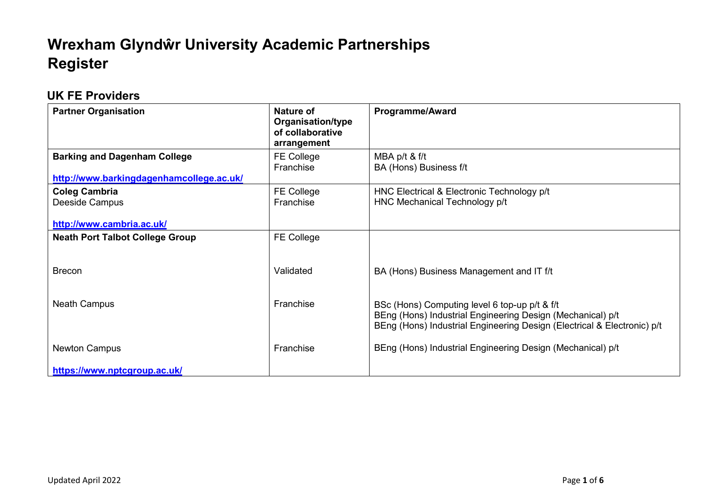## **Wrexham Glyndŵr University Academic Partnerships Register**

## **UK FE Providers**

| <b>Partner Organisation</b>              | Nature of<br><b>Organisation/type</b><br>of collaborative<br>arrangement | <b>Programme/Award</b>                                                                                                                                                                 |
|------------------------------------------|--------------------------------------------------------------------------|----------------------------------------------------------------------------------------------------------------------------------------------------------------------------------------|
| <b>Barking and Dagenham College</b>      | <b>FE College</b><br>Franchise                                           | MBA p/t & f/t<br>BA (Hons) Business f/t                                                                                                                                                |
| http://www.barkingdagenhamcollege.ac.uk/ |                                                                          |                                                                                                                                                                                        |
| <b>Coleg Cambria</b><br>Deeside Campus   | <b>FE College</b><br>Franchise                                           | HNC Electrical & Electronic Technology p/t<br>HNC Mechanical Technology p/t                                                                                                            |
| http://www.cambria.ac.uk/                |                                                                          |                                                                                                                                                                                        |
| <b>Neath Port Talbot College Group</b>   | <b>FE College</b>                                                        |                                                                                                                                                                                        |
|                                          |                                                                          |                                                                                                                                                                                        |
| <b>Brecon</b>                            | Validated                                                                | BA (Hons) Business Management and IT f/t                                                                                                                                               |
|                                          |                                                                          |                                                                                                                                                                                        |
| <b>Neath Campus</b>                      | Franchise                                                                | BSc (Hons) Computing level 6 top-up p/t & f/t<br>BEng (Hons) Industrial Engineering Design (Mechanical) p/t<br>BEng (Hons) Industrial Engineering Design (Electrical & Electronic) p/t |
| <b>Newton Campus</b>                     | Franchise                                                                | BEng (Hons) Industrial Engineering Design (Mechanical) p/t                                                                                                                             |
| https://www.nptcgroup.ac.uk/             |                                                                          |                                                                                                                                                                                        |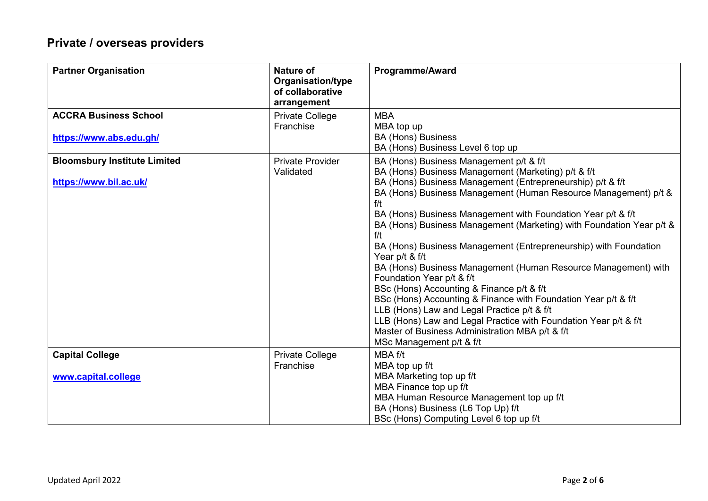## **Private / overseas providers**

| <b>Partner Organisation</b>                                   | Nature of<br>Organisation/type<br>of collaborative<br>arrangement | <b>Programme/Award</b>                                                                                                                                                                                                                                                                                                                                                                                                                                                                                                                                                                                                                                                                                                                                                                                                                                                                      |
|---------------------------------------------------------------|-------------------------------------------------------------------|---------------------------------------------------------------------------------------------------------------------------------------------------------------------------------------------------------------------------------------------------------------------------------------------------------------------------------------------------------------------------------------------------------------------------------------------------------------------------------------------------------------------------------------------------------------------------------------------------------------------------------------------------------------------------------------------------------------------------------------------------------------------------------------------------------------------------------------------------------------------------------------------|
| <b>ACCRA Business School</b><br>https://www.abs.edu.gh/       | <b>Private College</b><br>Franchise                               | <b>MBA</b><br>MBA top up<br><b>BA (Hons) Business</b><br>BA (Hons) Business Level 6 top up                                                                                                                                                                                                                                                                                                                                                                                                                                                                                                                                                                                                                                                                                                                                                                                                  |
| <b>Bloomsbury Institute Limited</b><br>https://www.bil.ac.uk/ | <b>Private Provider</b><br>Validated                              | BA (Hons) Business Management p/t & f/t<br>BA (Hons) Business Management (Marketing) p/t & f/t<br>BA (Hons) Business Management (Entrepreneurship) p/t & f/t<br>BA (Hons) Business Management (Human Resource Management) p/t &<br>f/t<br>BA (Hons) Business Management with Foundation Year p/t & f/t<br>BA (Hons) Business Management (Marketing) with Foundation Year p/t &<br>f/t<br>BA (Hons) Business Management (Entrepreneurship) with Foundation<br>Year p/t & f/t<br>BA (Hons) Business Management (Human Resource Management) with<br>Foundation Year p/t & f/t<br>BSc (Hons) Accounting & Finance p/t & f/t<br>BSc (Hons) Accounting & Finance with Foundation Year p/t & f/t<br>LLB (Hons) Law and Legal Practice p/t & f/t<br>LLB (Hons) Law and Legal Practice with Foundation Year p/t & f/t<br>Master of Business Administration MBA p/t & f/t<br>MSc Management p/t & f/t |
| <b>Capital College</b>                                        | <b>Private College</b><br>Franchise                               | MBA f/t<br>MBA top up f/t                                                                                                                                                                                                                                                                                                                                                                                                                                                                                                                                                                                                                                                                                                                                                                                                                                                                   |
| www.capital.college                                           |                                                                   | MBA Marketing top up f/t<br>MBA Finance top up f/t<br>MBA Human Resource Management top up f/t<br>BA (Hons) Business (L6 Top Up) f/t<br>BSc (Hons) Computing Level 6 top up f/t                                                                                                                                                                                                                                                                                                                                                                                                                                                                                                                                                                                                                                                                                                             |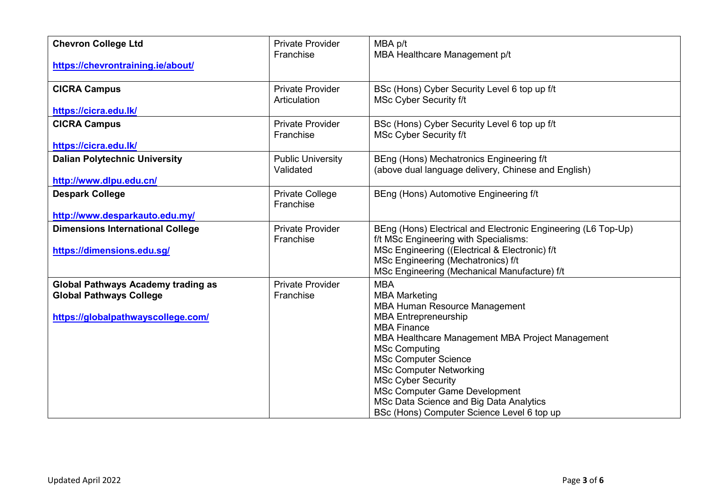| <b>Chevron College Ltd</b>                                                                                        | <b>Private Provider</b>                 | MBA p/t                                                                                                                                                                                                                                                                                                                                                                                                                                    |
|-------------------------------------------------------------------------------------------------------------------|-----------------------------------------|--------------------------------------------------------------------------------------------------------------------------------------------------------------------------------------------------------------------------------------------------------------------------------------------------------------------------------------------------------------------------------------------------------------------------------------------|
| https://chevrontraining.ie/about/                                                                                 | Franchise                               | MBA Healthcare Management p/t                                                                                                                                                                                                                                                                                                                                                                                                              |
| <b>CICRA Campus</b>                                                                                               | <b>Private Provider</b><br>Articulation | BSc (Hons) Cyber Security Level 6 top up f/t<br>MSc Cyber Security f/t                                                                                                                                                                                                                                                                                                                                                                     |
| https://cicra.edu.lk/                                                                                             |                                         |                                                                                                                                                                                                                                                                                                                                                                                                                                            |
| <b>CICRA Campus</b>                                                                                               | <b>Private Provider</b><br>Franchise    | BSc (Hons) Cyber Security Level 6 top up f/t<br><b>MSc Cyber Security f/t</b>                                                                                                                                                                                                                                                                                                                                                              |
| https://cicra.edu.lk/                                                                                             |                                         |                                                                                                                                                                                                                                                                                                                                                                                                                                            |
| <b>Dalian Polytechnic University</b>                                                                              | <b>Public University</b><br>Validated   | BEng (Hons) Mechatronics Engineering f/t<br>(above dual language delivery, Chinese and English)                                                                                                                                                                                                                                                                                                                                            |
| http://www.dlpu.edu.cn/                                                                                           |                                         |                                                                                                                                                                                                                                                                                                                                                                                                                                            |
| <b>Despark College</b>                                                                                            | Private College<br>Franchise            | BEng (Hons) Automotive Engineering f/t                                                                                                                                                                                                                                                                                                                                                                                                     |
| http://www.desparkauto.edu.my/                                                                                    |                                         |                                                                                                                                                                                                                                                                                                                                                                                                                                            |
| <b>Dimensions International College</b><br>https://dimensions.edu.sg/                                             | <b>Private Provider</b><br>Franchise    | BEng (Hons) Electrical and Electronic Engineering (L6 Top-Up)<br>f/t MSc Engineering with Specialisms:<br>MSc Engineering ((Electrical & Electronic) f/t<br>MSc Engineering (Mechatronics) f/t<br>MSc Engineering (Mechanical Manufacture) f/t                                                                                                                                                                                             |
| <b>Global Pathways Academy trading as</b><br><b>Global Pathways College</b><br>https://globalpathwayscollege.com/ | <b>Private Provider</b><br>Franchise    | <b>MBA</b><br><b>MBA Marketing</b><br><b>MBA Human Resource Management</b><br><b>MBA Entrepreneurship</b><br><b>MBA Finance</b><br>MBA Healthcare Management MBA Project Management<br><b>MSc Computing</b><br><b>MSc Computer Science</b><br><b>MSc Computer Networking</b><br><b>MSc Cyber Security</b><br><b>MSc Computer Game Development</b><br>MSc Data Science and Big Data Analytics<br>BSc (Hons) Computer Science Level 6 top up |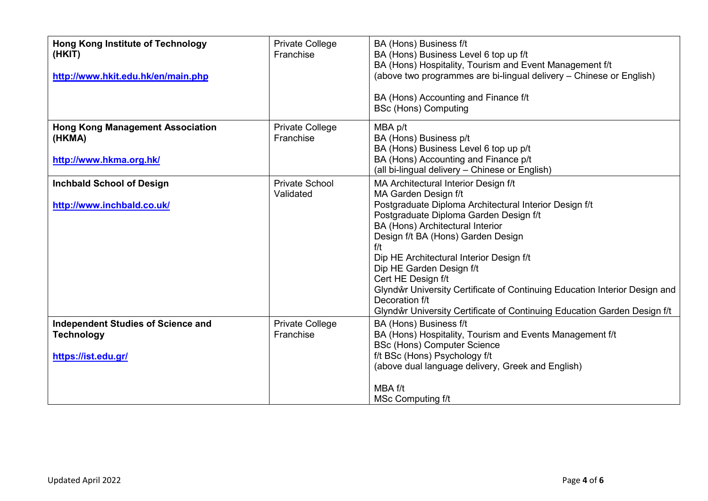| <b>Hong Kong Institute of Technology</b><br>(HKIT)<br>http://www.hkit.edu.hk/en/main.php | <b>Private College</b><br>Franchise | BA (Hons) Business f/t<br>BA (Hons) Business Level 6 top up f/t<br>BA (Hons) Hospitality, Tourism and Event Management f/t<br>(above two programmes are bi-lingual delivery – Chinese or English)<br>BA (Hons) Accounting and Finance f/t<br><b>BSc (Hons) Computing</b>                                                                                                                                                                                                                                                    |
|------------------------------------------------------------------------------------------|-------------------------------------|-----------------------------------------------------------------------------------------------------------------------------------------------------------------------------------------------------------------------------------------------------------------------------------------------------------------------------------------------------------------------------------------------------------------------------------------------------------------------------------------------------------------------------|
| <b>Hong Kong Management Association</b><br>(HKMA)<br>http://www.hkma.org.hk/             | <b>Private College</b><br>Franchise | MBA p/t<br>BA (Hons) Business p/t<br>BA (Hons) Business Level 6 top up p/t<br>BA (Hons) Accounting and Finance p/t<br>(all bi-lingual delivery – Chinese or English)                                                                                                                                                                                                                                                                                                                                                        |
| <b>Inchbald School of Design</b><br>http://www.inchbald.co.uk/                           | <b>Private School</b><br>Validated  | MA Architectural Interior Design f/t<br>MA Garden Design f/t<br>Postgraduate Diploma Architectural Interior Design f/t<br>Postgraduate Diploma Garden Design f/t<br>BA (Hons) Architectural Interior<br>Design f/t BA (Hons) Garden Design<br>f/t<br>Dip HE Architectural Interior Design f/t<br>Dip HE Garden Design f/t<br>Cert HE Design f/t<br>Glyndŵr University Certificate of Continuing Education Interior Design and<br>Decoration f/t<br>Glyndŵr University Certificate of Continuing Education Garden Design f/t |
| <b>Independent Studies of Science and</b><br><b>Technology</b><br>https://ist.edu.gr/    | <b>Private College</b><br>Franchise | BA (Hons) Business f/t<br>BA (Hons) Hospitality, Tourism and Events Management f/t<br><b>BSc (Hons) Computer Science</b><br>f/t BSc (Hons) Psychology f/t<br>(above dual language delivery, Greek and English)<br>MBA f/t<br>MSc Computing f/t                                                                                                                                                                                                                                                                              |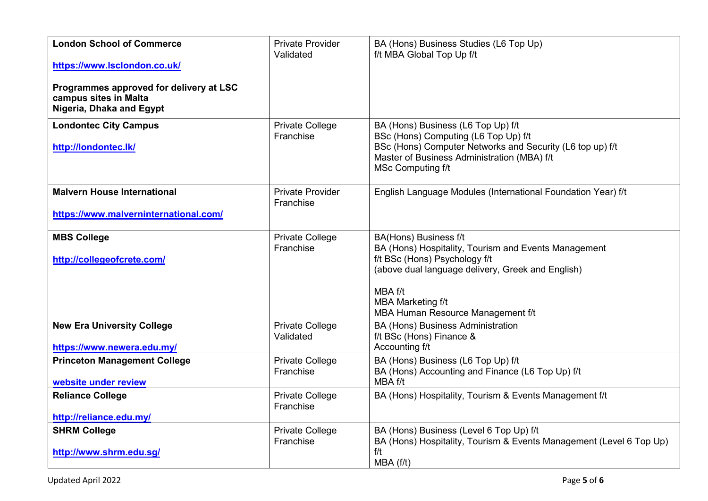| <b>London School of Commerce</b><br>https://www.lsclondon.co.uk/<br>Programmes approved for delivery at LSC<br>campus sites in Malta | <b>Private Provider</b><br>Validated | BA (Hons) Business Studies (L6 Top Up)<br>f/t MBA Global Top Up f/t                                                                                                                                                                             |
|--------------------------------------------------------------------------------------------------------------------------------------|--------------------------------------|-------------------------------------------------------------------------------------------------------------------------------------------------------------------------------------------------------------------------------------------------|
| Nigeria, Dhaka and Egypt                                                                                                             |                                      |                                                                                                                                                                                                                                                 |
| <b>Londontec City Campus</b><br>http://londontec.lk/                                                                                 | <b>Private College</b><br>Franchise  | BA (Hons) Business (L6 Top Up) f/t<br>BSc (Hons) Computing (L6 Top Up) f/t<br>BSc (Hons) Computer Networks and Security (L6 top up) f/t<br>Master of Business Administration (MBA) f/t<br><b>MSc Computing f/t</b>                              |
| <b>Malvern House International</b>                                                                                                   | <b>Private Provider</b><br>Franchise | English Language Modules (International Foundation Year) f/t                                                                                                                                                                                    |
| https://www.malverninternational.com/                                                                                                |                                      |                                                                                                                                                                                                                                                 |
| <b>MBS College</b><br>http://collegeofcrete.com/                                                                                     | <b>Private College</b><br>Franchise  | BA(Hons) Business f/t<br>BA (Hons) Hospitality, Tourism and Events Management<br>f/t BSc (Hons) Psychology f/t<br>(above dual language delivery, Greek and English)<br>MBA f/t<br><b>MBA Marketing f/t</b><br>MBA Human Resource Management f/t |
| <b>New Era University College</b><br>https://www.newera.edu.my/                                                                      | <b>Private College</b><br>Validated  | <b>BA (Hons) Business Administration</b><br>f/t BSc (Hons) Finance &<br>Accounting f/t                                                                                                                                                          |
| <b>Princeton Management College</b><br>website under review                                                                          | <b>Private College</b><br>Franchise  | BA (Hons) Business (L6 Top Up) f/t<br>BA (Hons) Accounting and Finance (L6 Top Up) f/t<br>MBA f/t                                                                                                                                               |
| <b>Reliance College</b><br>http://reliance.edu.my/                                                                                   | <b>Private College</b><br>Franchise  | BA (Hons) Hospitality, Tourism & Events Management f/t                                                                                                                                                                                          |
| <b>SHRM College</b><br>http://www.shrm.edu.sg/                                                                                       | <b>Private College</b><br>Franchise  | BA (Hons) Business (Level 6 Top Up) f/t<br>BA (Hons) Hospitality, Tourism & Events Management (Level 6 Top Up)<br>f/t<br>MBA(f/t)                                                                                                               |